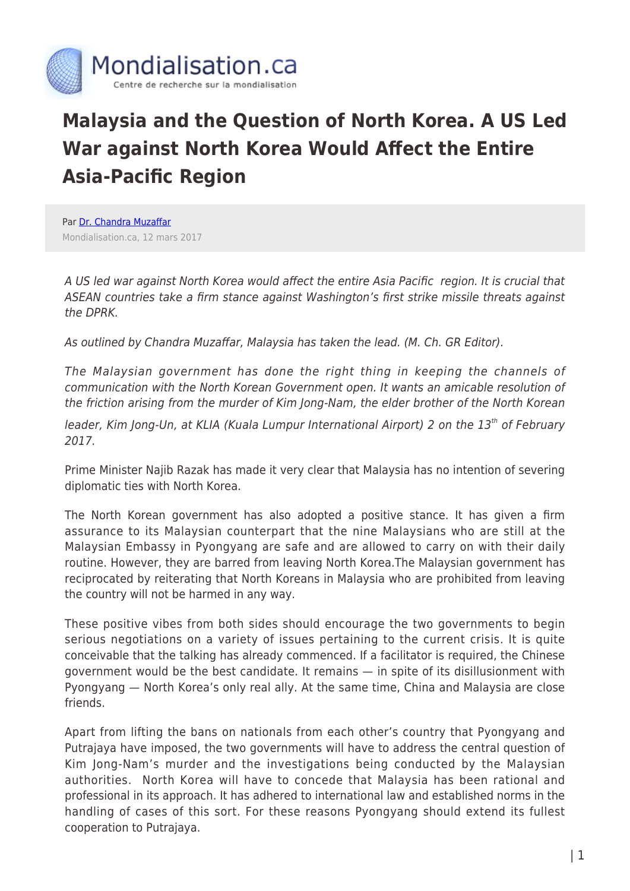

## **Malaysia and the Question of North Korea. A US Led War against North Korea Would Affect the Entire Asia-Pacific Region**

Par [Dr. Chandra Muzaffar](https://www.mondialisation.ca/author/chandra-muzaffar) Mondialisation.ca, 12 mars 2017

A US led war against North Korea would affect the entire Asia Pacific region. It is crucial that ASEAN countries take a firm stance against Washington's first strike missile threats against the DPRK.

As outlined by Chandra Muzaffar, Malaysia has taken the lead. (M. Ch. GR Editor).

The Malaysian government has done the right thing in keeping the channels of communication with the North Korean Government open. It wants an amicable resolution of the friction arising from the murder of Kim Jong-Nam, the elder brother of the North Korean

leader, Kim Jong-Un, at KLIA (Kuala Lumpur International Airport) 2 on the 13<sup>th</sup> of February 2017.

Prime Minister Najib Razak has made it very clear that Malaysia has no intention of severing diplomatic ties with North Korea.

The North Korean government has also adopted a positive stance. It has given a firm assurance to its Malaysian counterpart that the nine Malaysians who are still at the Malaysian Embassy in Pyongyang are safe and are allowed to carry on with their daily routine. However, they are barred from leaving North Korea.The Malaysian government has reciprocated by reiterating that North Koreans in Malaysia who are prohibited from leaving the country will not be harmed in any way.

These positive vibes from both sides should encourage the two governments to begin serious negotiations on a variety of issues pertaining to the current crisis. It is quite conceivable that the talking has already commenced. If a facilitator is required, the Chinese government would be the best candidate. It remains — in spite of its disillusionment with Pyongyang — North Korea's only real ally. At the same time, China and Malaysia are close friends.

Apart from lifting the bans on nationals from each other's country that Pyongyang and Putrajaya have imposed, the two governments will have to address the central question of Kim Jong-Nam's murder and the investigations being conducted by the Malaysian authorities. North Korea will have to concede that Malaysia has been rational and professional in its approach. It has adhered to international law and established norms in the handling of cases of this sort. For these reasons Pyongyang should extend its fullest cooperation to Putrajaya.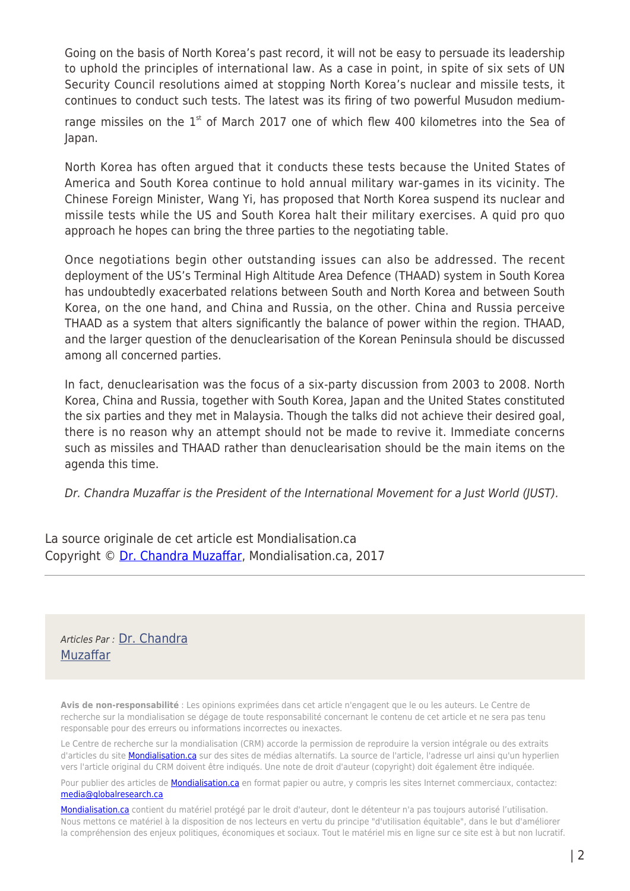Going on the basis of North Korea's past record, it will not be easy to persuade its leadership to uphold the principles of international law. As a case in point, in spite of six sets of UN Security Council resolutions aimed at stopping North Korea's nuclear and missile tests, it continues to conduct such tests. The latest was its firing of two powerful Musudon medium-

range missiles on the  $1<sup>st</sup>$  of March 2017 one of which flew 400 kilometres into the Sea of Japan.

North Korea has often argued that it conducts these tests because the United States of America and South Korea continue to hold annual military war-games in its vicinity. The Chinese Foreign Minister, Wang Yi, has proposed that North Korea suspend its nuclear and missile tests while the US and South Korea halt their military exercises. A quid pro quo approach he hopes can bring the three parties to the negotiating table.

Once negotiations begin other outstanding issues can also be addressed. The recent deployment of the US's Terminal High Altitude Area Defence (THAAD) system in South Korea has undoubtedly exacerbated relations between South and North Korea and between South Korea, on the one hand, and China and Russia, on the other. China and Russia perceive THAAD as a system that alters significantly the balance of power within the region. THAAD, and the larger question of the denuclearisation of the Korean Peninsula should be discussed among all concerned parties.

In fact, denuclearisation was the focus of a six-party discussion from 2003 to 2008. North Korea, China and Russia, together with South Korea, Japan and the United States constituted the six parties and they met in Malaysia. Though the talks did not achieve their desired goal, there is no reason why an attempt should not be made to revive it. Immediate concerns such as missiles and THAAD rather than denuclearisation should be the main items on the agenda this time.

Dr. Chandra Muzaffar is the President of the International Movement for a Just World (JUST).

La source originale de cet article est Mondialisation.ca Copyright © [Dr. Chandra Muzaffar,](https://www.mondialisation.ca/author/chandra-muzaffar) Mondialisation.ca, 2017

Articles Par : [Dr. Chandra](https://www.mondialisation.ca/author/chandra-muzaffar) [Muzaffar](https://www.mondialisation.ca/author/chandra-muzaffar)

**Avis de non-responsabilité** : Les opinions exprimées dans cet article n'engagent que le ou les auteurs. Le Centre de recherche sur la mondialisation se dégage de toute responsabilité concernant le contenu de cet article et ne sera pas tenu responsable pour des erreurs ou informations incorrectes ou inexactes.

Le Centre de recherche sur la mondialisation (CRM) accorde la permission de reproduire la version intégrale ou des extraits d'articles du site **Mondialisation.ca** sur des sites de médias alternatifs. La source de l'article, l'adresse url ainsi qu'un hyperlien vers l'article original du CRM doivent être indiqués. Une note de droit d'auteur (copyright) doit également être indiquée.

Pour publier des articles de **[Mondialisation.ca](https://mondialisation.ca)** en format papier ou autre, y compris les sites Internet commerciaux, contactez: [media@globalresearch.ca](mailto:media@globalresearch.ca)

[Mondialisation.ca](https://mondialisation.ca) contient du matériel protégé par le droit d'auteur, dont le détenteur n'a pas toujours autorisé l'utilisation. Nous mettons ce matériel à la disposition de nos lecteurs en vertu du principe "d'utilisation équitable", dans le but d'améliorer la compréhension des enjeux politiques, économiques et sociaux. Tout le matériel mis en ligne sur ce site est à but non lucratif.